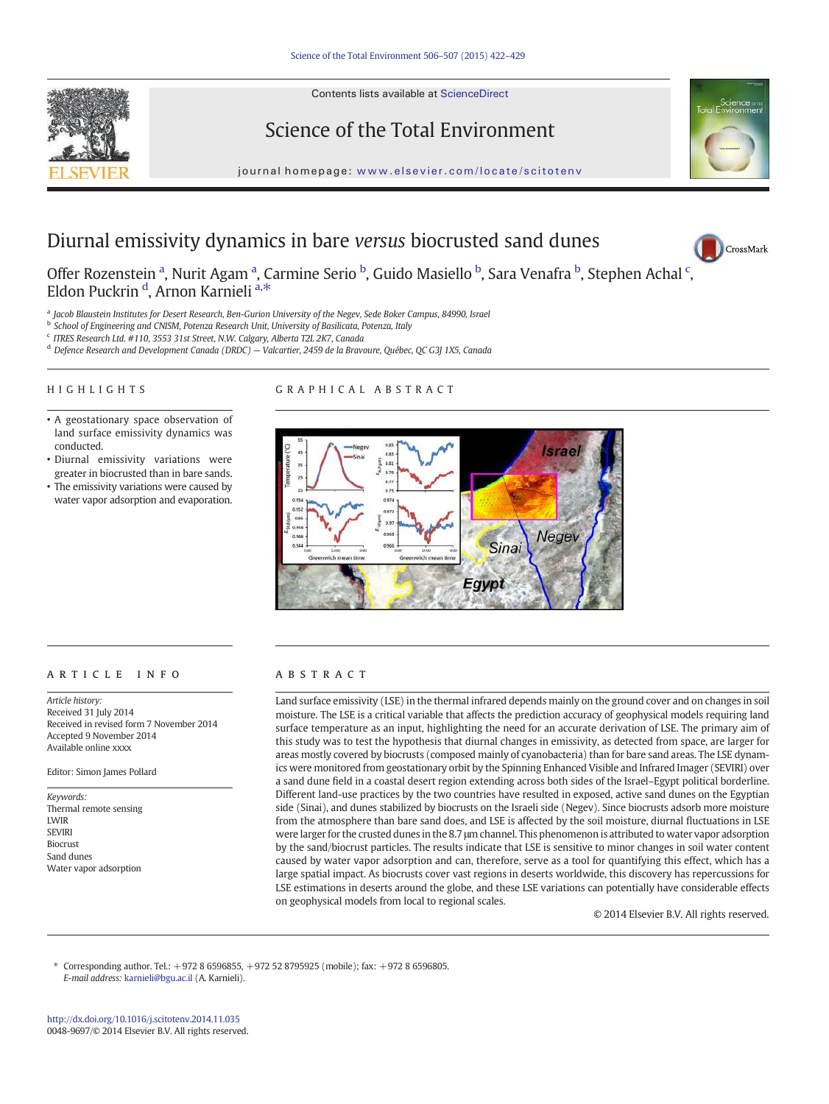Contents lists available at ScienceDirect





# Science of the Total Environment

journal homepage: <www.elsevier.com/locate/scitotenv>

# Diurnal emissivity dynamics in bare versus biocrusted sand dunes



Offer Rozenstein<sup>a</sup>, Nurit Agam<sup>a</sup>, Carmine Serio<sup>b</sup>, Guido Masiello<sup>b</sup>, Sara Venafra<sup>b</sup>, Stephen Achal<sup>c</sup>, Eldon Puckrin<sup>d</sup>, Arnon Karnieli<sup>a,\*</sup>

<sup>a</sup> Jacob Blaustein Institutes for Desert Research, Ben-Gurion University of the Negev, Sede Boker Campus, 84990, Israel

**b** School of Engineering and CNISM, Potenza Research Unit, University of Basilicata, Potenza, Italy

<sup>c</sup> ITRES Research Ltd. #110, 3553 31st Street, N.W. Calgary, Alberta T2L 2K7, Canada

<sup>d</sup> Defence Research and Development Canada (DRDC) — Valcartier, 2459 de la Bravoure, Québec, QC G3J 1X5, Canada

### HIGHLIGHTS

# GRAPHICAL ABSTRACT

- A geostationary space observation of land surface emissivity dynamics was conducted.
- Diurnal emissivity variations were greater in biocrusted than in bare sands.
- The emissivity variations were caused by water vapor adsorption and evaporation.



# article info abstract

Article history: Received 31 July 2014 Received in revised form 7 November 2014 Accepted 9 November 2014 Available online xxxx

Editor: Simon James Pollard

Keywords: Thermal remote sensing LWIR SEVIRI Biocrust Sand dunes Water vapor adsorption

Land surface emissivity (LSE) in the thermal infrared depends mainly on the ground cover and on changes in soil moisture. The LSE is a critical variable that affects the prediction accuracy of geophysical models requiring land surface temperature as an input, highlighting the need for an accurate derivation of LSE. The primary aim of this study was to test the hypothesis that diurnal changes in emissivity, as detected from space, are larger for areas mostly covered by biocrusts (composed mainly of cyanobacteria) than for bare sand areas. The LSE dynamics were monitored from geostationary orbit by the Spinning Enhanced Visible and Infrared Imager (SEVIRI) over a sand dune field in a coastal desert region extending across both sides of the Israel–Egypt political borderline. Different land-use practices by the two countries have resulted in exposed, active sand dunes on the Egyptian side (Sinai), and dunes stabilized by biocrusts on the Israeli side (Negev). Since biocrusts adsorb more moisture from the atmosphere than bare sand does, and LSE is affected by the soil moisture, diurnal fluctuations in LSE were larger for the crusted dunes in the 8.7 μm channel. This phenomenon is attributed to water vapor adsorption by the sand/biocrust particles. The results indicate that LSE is sensitive to minor changes in soil water content caused by water vapor adsorption and can, therefore, serve as a tool for quantifying this effect, which has a large spatial impact. As biocrusts cover vast regions in deserts worldwide, this discovery has repercussions for LSE estimations in deserts around the globe, and these LSE variations can potentially have considerable effects on geophysical models from local to regional scales.

© 2014 Elsevier B.V. All rights reserved.

⁎ Corresponding author. Tel.: +972 8 6596855, +972 52 8795925 (mobile); fax: +972 8 6596805. E-mail address: [karnieli@bgu.ac.il](mailto:karnieli@bgu.ac.il) (A. Karnieli).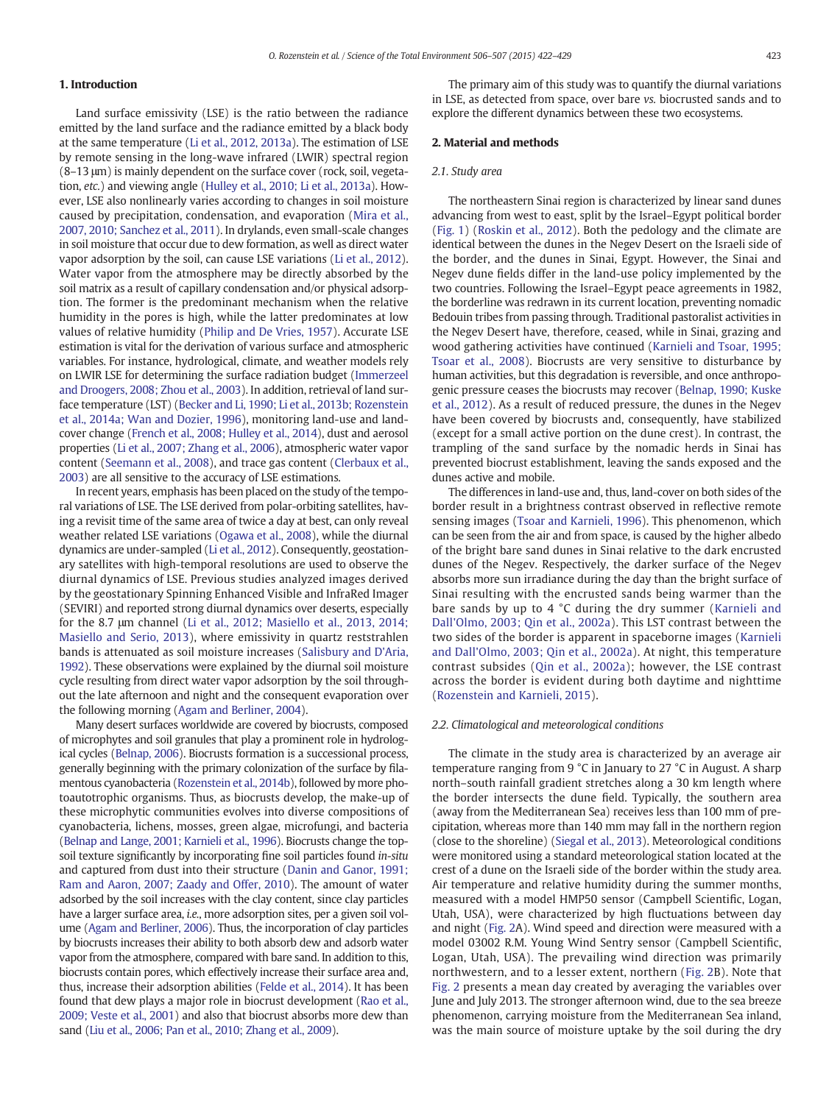# 1. Introduction

Land surface emissivity (LSE) is the ratio between the radiance emitted by the land surface and the radiance emitted by a black body at the same temperature [\(Li et al., 2012, 2013a](#page-6-0)). The estimation of LSE by remote sensing in the long-wave infrared (LWIR) spectral region (8–13 μm) is mainly dependent on the surface cover (rock, soil, vegetation, etc.) and viewing angle ([Hulley et al., 2010; Li et al., 2013a](#page-6-0)). However, LSE also nonlinearly varies according to changes in soil moisture caused by precipitation, condensation, and evaporation ([Mira et al.,](#page-7-0) [2007, 2010; Sanchez et al., 2011\)](#page-7-0). In drylands, even small-scale changes in soil moisture that occur due to dew formation, as well as direct water vapor adsorption by the soil, can cause LSE variations ([Li et al., 2012](#page-6-0)). Water vapor from the atmosphere may be directly absorbed by the soil matrix as a result of capillary condensation and/or physical adsorption. The former is the predominant mechanism when the relative humidity in the pores is high, while the latter predominates at low values of relative humidity ([Philip and De Vries, 1957](#page-7-0)). Accurate LSE estimation is vital for the derivation of various surface and atmospheric variables. For instance, hydrological, climate, and weather models rely on LWIR LSE for determining the surface radiation budget [\(Immerzeel](#page-6-0) [and Droogers, 2008; Zhou et al., 2003](#page-6-0)). In addition, retrieval of land surface temperature (LST) [\(Becker and Li, 1990; Li et al., 2013b; Rozenstein](#page-6-0) [et al., 2014a; Wan and Dozier, 1996](#page-6-0)), monitoring land-use and landcover change ([French et al., 2008; Hulley et al., 2014\)](#page-6-0), dust and aerosol properties [\(Li et al., 2007; Zhang et al., 2006](#page-6-0)), atmospheric water vapor content ([Seemann et al., 2008](#page-7-0)), and trace gas content [\(Clerbaux et al.,](#page-6-0) [2003](#page-6-0)) are all sensitive to the accuracy of LSE estimations.

In recent years, emphasis has been placed on the study of the temporal variations of LSE. The LSE derived from polar-orbiting satellites, having a revisit time of the same area of twice a day at best, can only reveal weather related LSE variations ([Ogawa et al., 2008\)](#page-7-0), while the diurnal dynamics are under-sampled [\(Li et al., 2012](#page-6-0)). Consequently, geostationary satellites with high-temporal resolutions are used to observe the diurnal dynamics of LSE. Previous studies analyzed images derived by the geostationary Spinning Enhanced Visible and InfraRed Imager (SEVIRI) and reported strong diurnal dynamics over deserts, especially for the 8.7 μm channel ([Li et al., 2012; Masiello et al., 2013, 2014;](#page-6-0) [Masiello and Serio, 2013\)](#page-6-0), where emissivity in quartz reststrahlen bands is attenuated as soil moisture increases [\(Salisbury and D'Aria,](#page-7-0) [1992](#page-7-0)). These observations were explained by the diurnal soil moisture cycle resulting from direct water vapor adsorption by the soil throughout the late afternoon and night and the consequent evaporation over the following morning [\(Agam and Berliner, 2004](#page-6-0)).

Many desert surfaces worldwide are covered by biocrusts, composed of microphytes and soil granules that play a prominent role in hydrological cycles [\(Belnap, 2006](#page-6-0)). Biocrusts formation is a successional process, generally beginning with the primary colonization of the surface by filamentous cyanobacteria ([Rozenstein et al., 2014b](#page-7-0)), followed by more photoautotrophic organisms. Thus, as biocrusts develop, the make-up of these microphytic communities evolves into diverse compositions of cyanobacteria, lichens, mosses, green algae, microfungi, and bacteria [\(Belnap and Lange, 2001; Karnieli et al., 1996\)](#page-6-0). Biocrusts change the topsoil texture significantly by incorporating fine soil particles found in-situ and captured from dust into their structure ([Danin and Ganor, 1991;](#page-6-0) [Ram and Aaron, 2007; Zaady and Offer, 2010](#page-6-0)). The amount of water adsorbed by the soil increases with the clay content, since clay particles have a larger surface area, i.e., more adsorption sites, per a given soil volume ([Agam and Berliner, 2006\)](#page-6-0). Thus, the incorporation of clay particles by biocrusts increases their ability to both absorb dew and adsorb water vapor from the atmosphere, compared with bare sand. In addition to this, biocrusts contain pores, which effectively increase their surface area and, thus, increase their adsorption abilities ([Felde et al., 2014](#page-6-0)). It has been found that dew plays a major role in biocrust development [\(Rao et al.,](#page-7-0) [2009; Veste et al., 2001](#page-7-0)) and also that biocrust absorbs more dew than sand [\(Liu et al., 2006; Pan et al., 2010; Zhang et al., 2009](#page-7-0)).

The primary aim of this study was to quantify the diurnal variations in LSE, as detected from space, over bare vs. biocrusted sands and to explore the different dynamics between these two ecosystems.

#### 2. Material and methods

#### 2.1. Study area

The northeastern Sinai region is characterized by linear sand dunes advancing from west to east, split by the Israel–Egypt political border [\(Fig. 1\)](#page-2-0) [\(Roskin et al., 2012](#page-7-0)). Both the pedology and the climate are identical between the dunes in the Negev Desert on the Israeli side of the border, and the dunes in Sinai, Egypt. However, the Sinai and Negev dune fields differ in the land-use policy implemented by the two countries. Following the Israel–Egypt peace agreements in 1982, the borderline was redrawn in its current location, preventing nomadic Bedouin tribes from passing through. Traditional pastoralist activities in the Negev Desert have, therefore, ceased, while in Sinai, grazing and wood gathering activities have continued [\(Karnieli and Tsoar, 1995;](#page-6-0) [Tsoar et al., 2008](#page-6-0)). Biocrusts are very sensitive to disturbance by human activities, but this degradation is reversible, and once anthropogenic pressure ceases the biocrusts may recover ([Belnap, 1990; Kuske](#page-6-0) [et al., 2012\)](#page-6-0). As a result of reduced pressure, the dunes in the Negev have been covered by biocrusts and, consequently, have stabilized (except for a small active portion on the dune crest). In contrast, the trampling of the sand surface by the nomadic herds in Sinai has prevented biocrust establishment, leaving the sands exposed and the dunes active and mobile.

The differences in land-use and, thus, land-cover on both sides of the border result in a brightness contrast observed in reflective remote sensing images ([Tsoar and Karnieli, 1996](#page-7-0)). This phenomenon, which can be seen from the air and from space, is caused by the higher albedo of the bright bare sand dunes in Sinai relative to the dark encrusted dunes of the Negev. Respectively, the darker surface of the Negev absorbs more sun irradiance during the day than the bright surface of Sinai resulting with the encrusted sands being warmer than the bare sands by up to 4 °C during the dry summer ([Karnieli and](#page-6-0) [Dall'Olmo, 2003; Qin et al., 2002a\)](#page-6-0). This LST contrast between the two sides of the border is apparent in spaceborne images ([Karnieli](#page-6-0) [and Dall'Olmo, 2003; Qin et al., 2002a\)](#page-6-0). At night, this temperature contrast subsides ([Qin et al., 2002a\)](#page-7-0); however, the LSE contrast across the border is evident during both daytime and nighttime [\(Rozenstein and Karnieli, 2015\)](#page-7-0).

#### 2.2. Climatological and meteorological conditions

The climate in the study area is characterized by an average air temperature ranging from 9 °C in January to 27 °C in August. A sharp north–south rainfall gradient stretches along a 30 km length where the border intersects the dune field. Typically, the southern area (away from the Mediterranean Sea) receives less than 100 mm of precipitation, whereas more than 140 mm may fall in the northern region (close to the shoreline) [\(Siegal et al., 2013](#page-7-0)). Meteorological conditions were monitored using a standard meteorological station located at the crest of a dune on the Israeli side of the border within the study area. Air temperature and relative humidity during the summer months, measured with a model HMP50 sensor (Campbell Scientific, Logan, Utah, USA), were characterized by high fluctuations between day and night [\(Fig. 2](#page-2-0)A). Wind speed and direction were measured with a model 03002 R.M. Young Wind Sentry sensor (Campbell Scientific, Logan, Utah, USA). The prevailing wind direction was primarily northwestern, and to a lesser extent, northern ([Fig. 2](#page-2-0)B). Note that [Fig. 2](#page-2-0) presents a mean day created by averaging the variables over June and July 2013. The stronger afternoon wind, due to the sea breeze phenomenon, carrying moisture from the Mediterranean Sea inland, was the main source of moisture uptake by the soil during the dry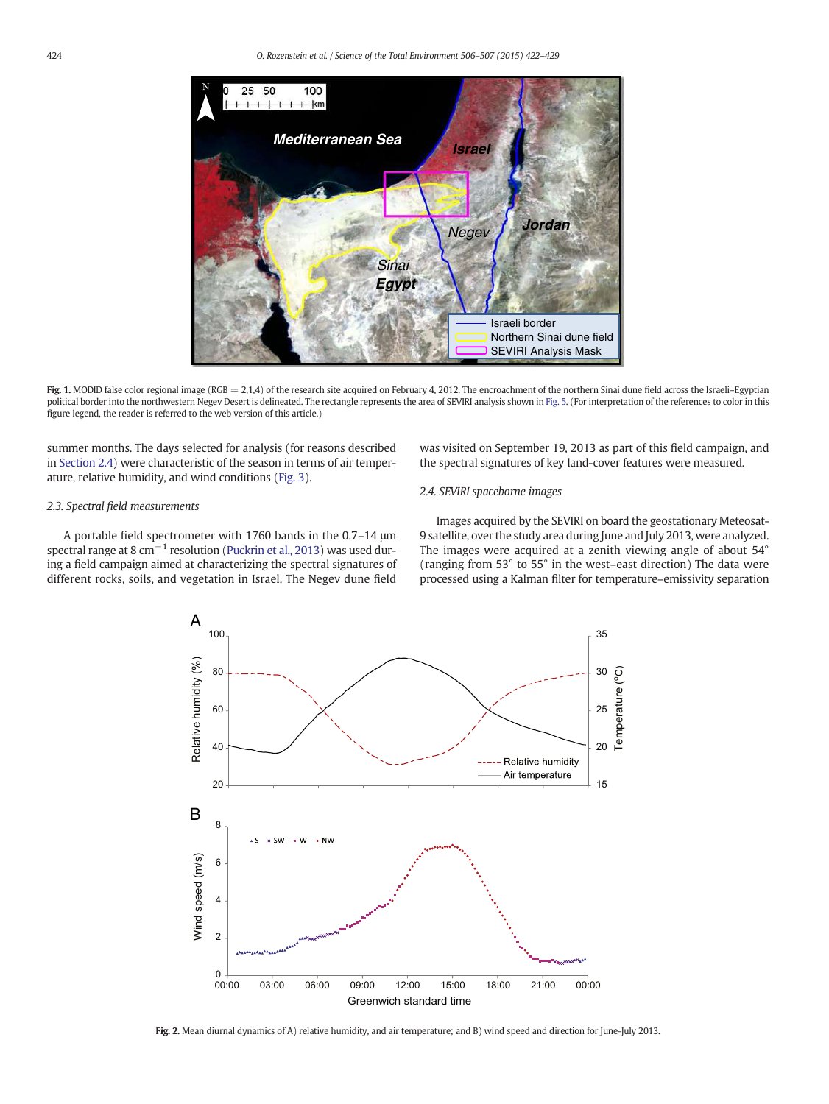<span id="page-2-0"></span>

Fig. 1. MODID false color regional image (RGB = 2,1,4) of the research site acquired on February 4, 2012. The encroachment of the northern Sinai dune field across the Israeli–Egyptian political border into the northwestern Negev Desert is delineated. The rectangle represents the area of SEVIRI analysis shown in [Fig. 5.](#page-4-0) (For interpretation of the references to color in this figure legend, the reader is referred to the web version of this article.)

2.4. SEVIRI spaceborne images

summer months. The days selected for analysis (for reasons described in Section 2.4) were characteristic of the season in terms of air temperature, relative humidity, and wind conditions [\(Fig. 3\)](#page-3-0).

was visited on September 19, 2013 as part of this field campaign, and the spectral signatures of key land-cover features were measured.

# 2.3. Spectral field measurements

A portable field spectrometer with 1760 bands in the 0.7–14 μm spectral range at 8 cm<sup>-1</sup> resolution [\(Puckrin et al., 2013\)](#page-7-0) was used during a field campaign aimed at characterizing the spectral signatures of different rocks, soils, and vegetation in Israel. The Negev dune field

Images acquired by the SEVIRI on board the geostationary Meteosat-9 satellite, over the study area during June and July 2013, were analyzed. The images were acquired at a zenith viewing angle of about 54° (ranging from 53° to 55° in the west–east direction) The data were processed using a Kalman filter for temperature–emissivity separation



Fig. 2. Mean diurnal dynamics of A) relative humidity, and air temperature; and B) wind speed and direction for June-July 2013.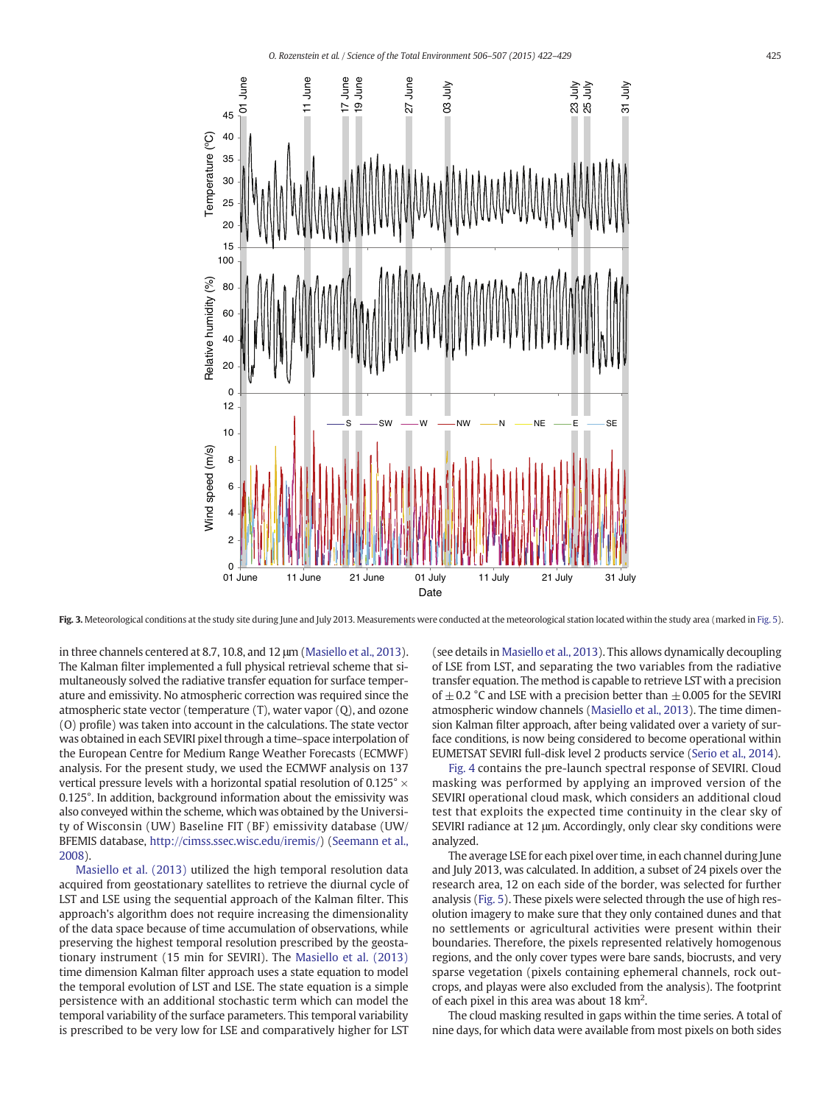<span id="page-3-0"></span>

Fig. 3. Meteorological conditions at the study site during June and July 2013. Measurements were conducted at the meteorological station located within the study area (marked in [Fig. 5\)](#page-4-0).

in three channels centered at 8.7, 10.8, and 12 μm ([Masiello et al., 2013](#page-7-0)). The Kalman filter implemented a full physical retrieval scheme that simultaneously solved the radiative transfer equation for surface temperature and emissivity. No atmospheric correction was required since the atmospheric state vector (temperature (T), water vapor (Q), and ozone (O) profile) was taken into account in the calculations. The state vector was obtained in each SEVIRI pixel through a time–space interpolation of the European Centre for Medium Range Weather Forecasts (ECMWF) analysis. For the present study, we used the ECMWF analysis on 137 vertical pressure levels with a horizontal spatial resolution of 0.125 $^{\circ}$   $\times$ 0.125°. In addition, background information about the emissivity was also conveyed within the scheme, which was obtained by the University of Wisconsin (UW) Baseline FIT (BF) emissivity database (UW/ BFEMIS database, [http://cimss.ssec.wisc.edu/iremis/\)](http://cimss.ssec.wisc.edu/iremis/) ([Seemann et al.,](#page-7-0) [2008](#page-7-0)).

[Masiello et al. \(2013\)](#page-7-0) utilized the high temporal resolution data acquired from geostationary satellites to retrieve the diurnal cycle of LST and LSE using the sequential approach of the Kalman filter. This approach's algorithm does not require increasing the dimensionality of the data space because of time accumulation of observations, while preserving the highest temporal resolution prescribed by the geostationary instrument (15 min for SEVIRI). The [Masiello et al. \(2013\)](#page-7-0) time dimension Kalman filter approach uses a state equation to model the temporal evolution of LST and LSE. The state equation is a simple persistence with an additional stochastic term which can model the temporal variability of the surface parameters. This temporal variability is prescribed to be very low for LSE and comparatively higher for LST (see details in [Masiello et al., 2013\)](#page-7-0). This allows dynamically decoupling of LSE from LST, and separating the two variables from the radiative transfer equation. The method is capable to retrieve LST with a precision of  $\pm$  0.2 °C and LSE with a precision better than  $\pm$  0.005 for the SEVIRI atmospheric window channels ([Masiello et al., 2013\)](#page-7-0). The time dimension Kalman filter approach, after being validated over a variety of surface conditions, is now being considered to become operational within EUMETSAT SEVIRI full-disk level 2 products service [\(Serio et al., 2014\)](#page-7-0).

[Fig. 4](#page-4-0) contains the pre-launch spectral response of SEVIRI. Cloud masking was performed by applying an improved version of the SEVIRI operational cloud mask, which considers an additional cloud test that exploits the expected time continuity in the clear sky of SEVIRI radiance at 12 μm. Accordingly, only clear sky conditions were analyzed.

The average LSE for each pixel over time, in each channel during June and July 2013, was calculated. In addition, a subset of 24 pixels over the research area, 12 on each side of the border, was selected for further analysis ([Fig. 5](#page-4-0)). These pixels were selected through the use of high resolution imagery to make sure that they only contained dunes and that no settlements or agricultural activities were present within their boundaries. Therefore, the pixels represented relatively homogenous regions, and the only cover types were bare sands, biocrusts, and very sparse vegetation (pixels containing ephemeral channels, rock outcrops, and playas were also excluded from the analysis). The footprint of each pixel in this area was about  $18 \text{ km}^2$ .

The cloud masking resulted in gaps within the time series. A total of nine days, for which data were available from most pixels on both sides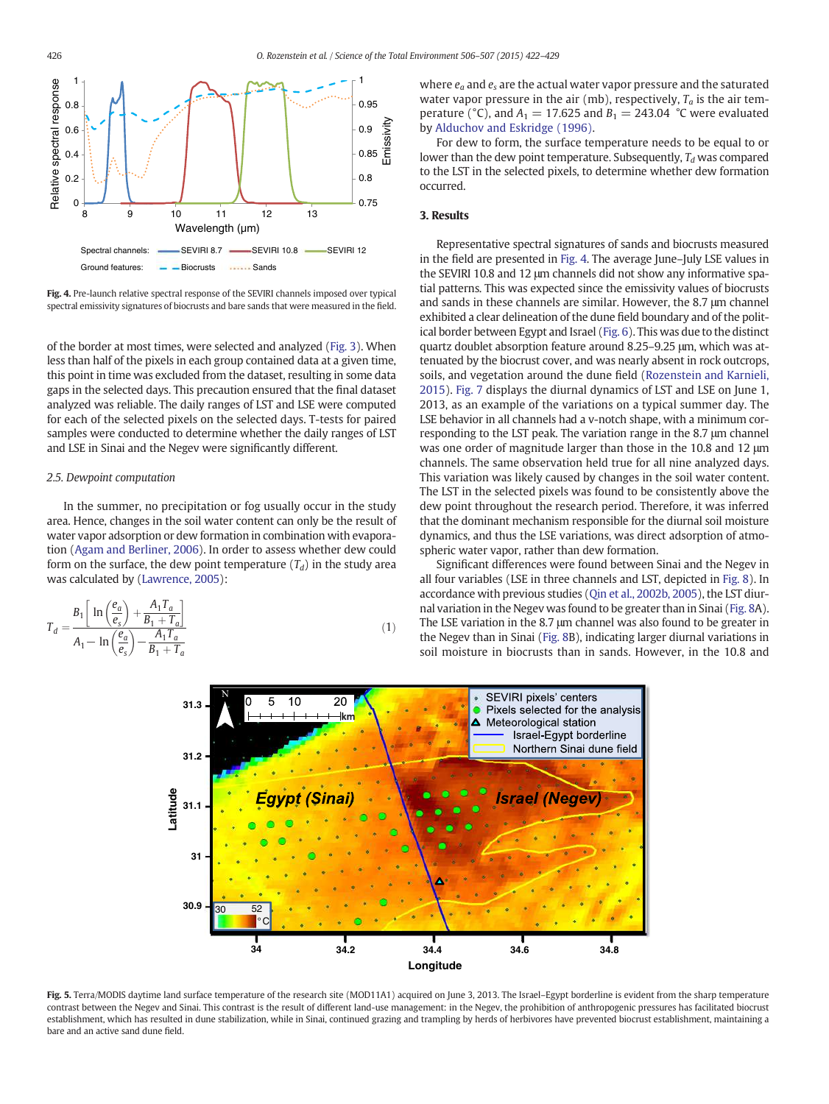<span id="page-4-0"></span>

Fig. 4. Pre-launch relative spectral response of the SEVIRI channels imposed over typical spectral emissivity signatures of biocrusts and bare sands that were measured in the field.

of the border at most times, were selected and analyzed [\(Fig. 3\)](#page-3-0). When less than half of the pixels in each group contained data at a given time, this point in time was excluded from the dataset, resulting in some data gaps in the selected days. This precaution ensured that the final dataset analyzed was reliable. The daily ranges of LST and LSE were computed for each of the selected pixels on the selected days. T-tests for paired samples were conducted to determine whether the daily ranges of LST and LSE in Sinai and the Negev were significantly different.

#### 2.5. Dewpoint computation

In the summer, no precipitation or fog usually occur in the study area. Hence, changes in the soil water content can only be the result of water vapor adsorption or dew formation in combination with evaporation ([Agam and Berliner, 2006\)](#page-6-0). In order to assess whether dew could form on the surface, the dew point temperature  $(T_d)$  in the study area was calculated by [\(Lawrence, 2005\)](#page-6-0):

$$
T_d = \frac{B_1 \left[ \ln \left( \frac{e_a}{e_s} \right) + \frac{A_1 T_a}{B_1 + T_a} \right]}{A_1 - \ln \left( \frac{e_a}{e_s} \right) - \frac{A_1 T_a}{B_1 + T_a}}
$$
(1)

where  $e_a$  and  $e_s$  are the actual water vapor pressure and the saturated water vapor pressure in the air (mb), respectively,  $T_a$  is the air temperature ( $^{\circ}$ C), and  $A_1 = 17.625$  and  $B_1 = 243.04$   $^{\circ}$ C were evaluated by [Alduchov and Eskridge \(1996\).](#page-6-0)

For dew to form, the surface temperature needs to be equal to or lower than the dew point temperature. Subsequently,  $T_d$  was compared to the LST in the selected pixels, to determine whether dew formation occurred.

## 3. Results

Representative spectral signatures of sands and biocrusts measured in the field are presented in Fig. 4. The average June–July LSE values in the SEVIRI 10.8 and 12 μm channels did not show any informative spatial patterns. This was expected since the emissivity values of biocrusts and sands in these channels are similar. However, the 8.7 μm channel exhibited a clear delineation of the dune field boundary and of the political border between Egypt and Israel [\(Fig. 6](#page-5-0)). This was due to the distinct quartz doublet absorption feature around 8.25–9.25 μm, which was attenuated by the biocrust cover, and was nearly absent in rock outcrops, soils, and vegetation around the dune field [\(Rozenstein and Karnieli,](#page-7-0) [2015](#page-7-0)). [Fig. 7](#page-5-0) displays the diurnal dynamics of LST and LSE on June 1, 2013, as an example of the variations on a typical summer day. The LSE behavior in all channels had a v-notch shape, with a minimum corresponding to the LST peak. The variation range in the 8.7 μm channel was one order of magnitude larger than those in the 10.8 and 12 μm channels. The same observation held true for all nine analyzed days. This variation was likely caused by changes in the soil water content. The LST in the selected pixels was found to be consistently above the dew point throughout the research period. Therefore, it was inferred that the dominant mechanism responsible for the diurnal soil moisture dynamics, and thus the LSE variations, was direct adsorption of atmospheric water vapor, rather than dew formation.

Significant differences were found between Sinai and the Negev in all four variables (LSE in three channels and LST, depicted in [Fig. 8](#page-5-0)). In accordance with previous studies ([Qin et al., 2002b, 2005](#page-7-0)), the LST diurnal variation in the Negev was found to be greater than in Sinai [\(Fig. 8](#page-5-0)A). The LSE variation in the 8.7 μm channel was also found to be greater in the Negev than in Sinai [\(Fig. 8B](#page-5-0)), indicating larger diurnal variations in soil moisture in biocrusts than in sands. However, in the 10.8 and



Fig. 5. Terra/MODIS daytime land surface temperature of the research site (MOD11A1) acquired on June 3, 2013. The Israel-Egypt borderline is evident from the sharp temperature contrast between the Negev and Sinai. This contrast is the result of different land-use management: in the Negev, the prohibition of anthropogenic pressures has facilitated biocrust establishment, which has resulted in dune stabilization, while in Sinai, continued grazing and trampling by herds of herbivores have prevented biocrust establishment, maintaining a bare and an active sand dune field.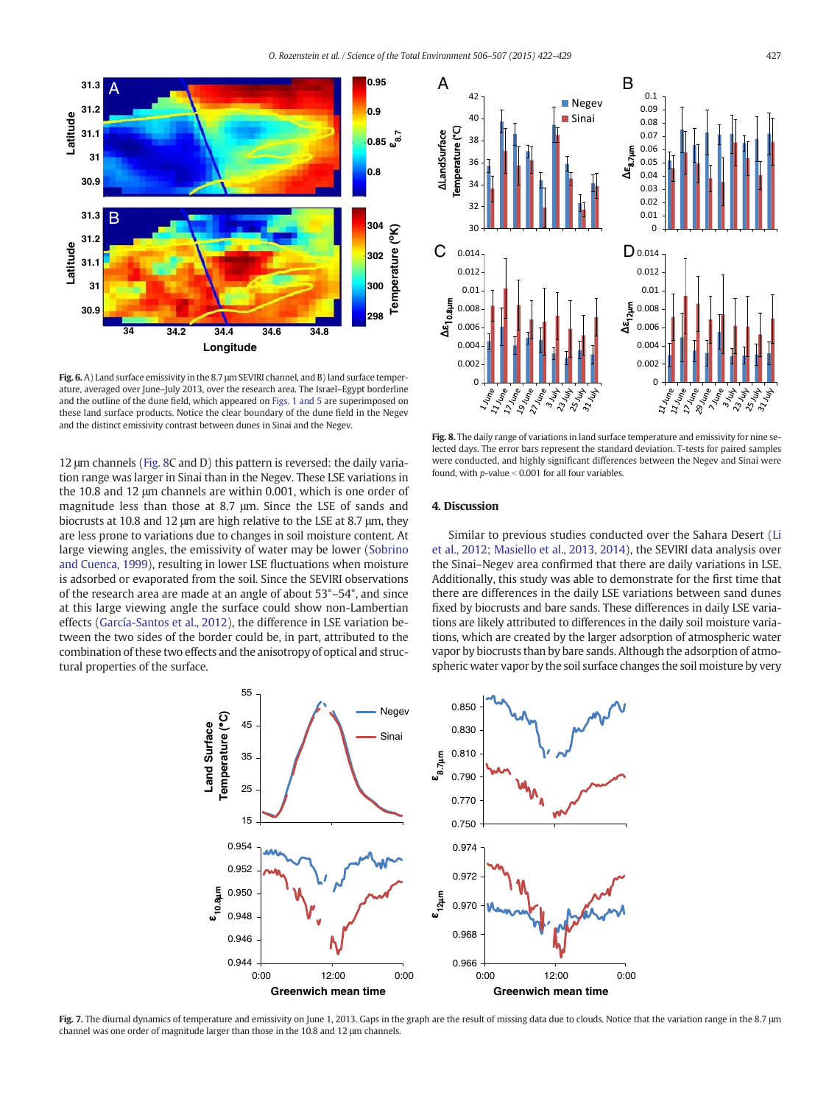<span id="page-5-0"></span>

Fig. 6. A) Land surface emissivity in the 8.7 μm SEVIRI channel, and B) land surface temperature, averaged over June–July 2013, over the research area. The Israel–Egypt borderline and the outline of the dune field, which appeared on [Figs. 1 and 5](#page-2-0) are superimposed on these land surface products. Notice the clear boundary of the dune field in the Negev and the distinct emissivity contrast between dunes in Sinai and the Negev.

12 μm channels (Fig. 8C and D) this pattern is reversed: the daily variation range was larger in Sinai than in the Negev. These LSE variations in the 10.8 and 12 μm channels are within 0.001, which is one order of magnitude less than those at 8.7 μm. Since the LSE of sands and biocrusts at 10.8 and 12 μm are high relative to the LSE at 8.7 μm, they are less prone to variations due to changes in soil moisture content. At large viewing angles, the emissivity of water may be lower [\(Sobrino](#page-7-0) [and Cuenca, 1999](#page-7-0)), resulting in lower LSE fluctuations when moisture is adsorbed or evaporated from the soil. Since the SEVIRI observations of the research area are made at an angle of about 53°–54°, and since at this large viewing angle the surface could show non-Lambertian effects ([García-Santos et al., 2012](#page-6-0)), the difference in LSE variation between the two sides of the border could be, in part, attributed to the combination of these two effects and the anisotropy of optical and structural properties of the surface.



Fig. 8. The daily range of variations in land surface temperature and emissivity for nine selected days. The error bars represent the standard deviation. T-tests for paired samples were conducted, and highly significant differences between the Negev and Sinai were found, with  $p$ -value  $< 0.001$  for all four variables.

#### 4. Discussion

Similar to previous studies conducted over the Sahara Desert [\(Li](#page-6-0) [et al., 2012; Masiello et al., 2013, 2014](#page-6-0)), the SEVIRI data analysis over the Sinai–Negev area confirmed that there are daily variations in LSE. Additionally, this study was able to demonstrate for the first time that there are differences in the daily LSE variations between sand dunes fixed by biocrusts and bare sands. These differences in daily LSE variations are likely attributed to differences in the daily soil moisture variations, which are created by the larger adsorption of atmospheric water vapor by biocrusts than by bare sands. Although the adsorption of atmospheric water vapor by the soil surface changes the soil moisture by very



Fig. 7. The diurnal dynamics of temperature and emissivity on June 1, 2013. Gaps in the graph are the result of missing data due to clouds. Notice that the variation range in the 8.7 μm channel was one order of magnitude larger than those in the 10.8 and 12 μm channels.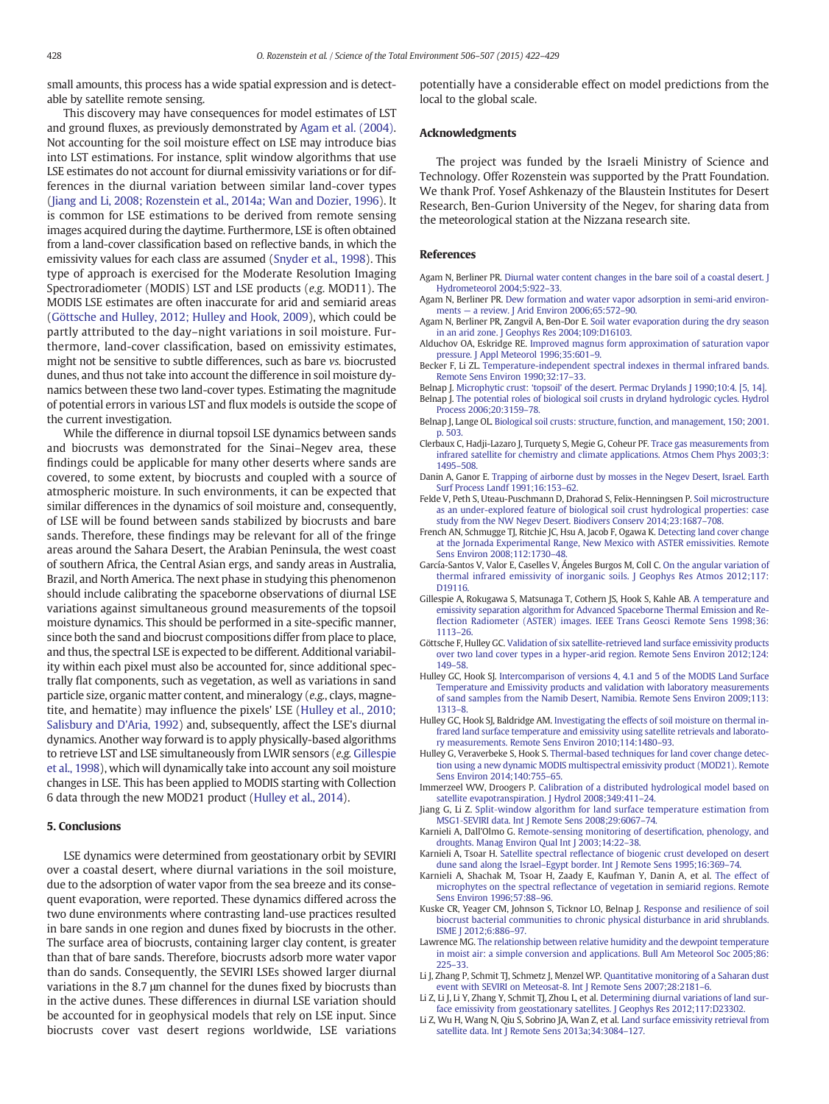<span id="page-6-0"></span>small amounts, this process has a wide spatial expression and is detectable by satellite remote sensing.

This discovery may have consequences for model estimates of LST and ground fluxes, as previously demonstrated by Agam et al. (2004). Not accounting for the soil moisture effect on LSE may introduce bias into LST estimations. For instance, split window algorithms that use LSE estimates do not account for diurnal emissivity variations or for differences in the diurnal variation between similar land-cover types (Jiang and Li, 2008; Rozenstein et al., 2014a; Wan and Dozier, 1996). It is common for LSE estimations to be derived from remote sensing images acquired during the daytime. Furthermore, LSE is often obtained from a land-cover classification based on reflective bands, in which the emissivity values for each class are assumed ([Snyder et al., 1998\)](#page-7-0). This type of approach is exercised for the Moderate Resolution Imaging Spectroradiometer (MODIS) LST and LSE products (e.g. MOD11). The MODIS LSE estimates are often inaccurate for arid and semiarid areas (Göttsche and Hulley, 2012; Hulley and Hook, 2009), which could be partly attributed to the day–night variations in soil moisture. Furthermore, land-cover classification, based on emissivity estimates, might not be sensitive to subtle differences, such as bare vs. biocrusted dunes, and thus not take into account the difference in soil moisture dynamics between these two land-cover types. Estimating the magnitude of potential errors in various LST and flux models is outside the scope of the current investigation.

While the difference in diurnal topsoil LSE dynamics between sands and biocrusts was demonstrated for the Sinai–Negev area, these findings could be applicable for many other deserts where sands are covered, to some extent, by biocrusts and coupled with a source of atmospheric moisture. In such environments, it can be expected that similar differences in the dynamics of soil moisture and, consequently, of LSE will be found between sands stabilized by biocrusts and bare sands. Therefore, these findings may be relevant for all of the fringe areas around the Sahara Desert, the Arabian Peninsula, the west coast of southern Africa, the Central Asian ergs, and sandy areas in Australia, Brazil, and North America. The next phase in studying this phenomenon should include calibrating the spaceborne observations of diurnal LSE variations against simultaneous ground measurements of the topsoil moisture dynamics. This should be performed in a site-specific manner, since both the sand and biocrust compositions differ from place to place, and thus, the spectral LSE is expected to be different. Additional variability within each pixel must also be accounted for, since additional spectrally flat components, such as vegetation, as well as variations in sand particle size, organic matter content, and mineralogy (e.g., clays, magnetite, and hematite) may influence the pixels' LSE (Hulley et al., 2010; Salisbury and D'Aria, 1992) and, subsequently, affect the LSE's diurnal dynamics. Another way forward is to apply physically-based algorithms to retrieve LST and LSE simultaneously from LWIR sensors (e.g. Gillespie et al., 1998), which will dynamically take into account any soil moisture changes in LSE. This has been applied to MODIS starting with Collection 6 data through the new MOD21 product (Hulley et al., 2014).

# 5. Conclusions

LSE dynamics were determined from geostationary orbit by SEVIRI over a coastal desert, where diurnal variations in the soil moisture, due to the adsorption of water vapor from the sea breeze and its consequent evaporation, were reported. These dynamics differed across the two dune environments where contrasting land-use practices resulted in bare sands in one region and dunes fixed by biocrusts in the other. The surface area of biocrusts, containing larger clay content, is greater than that of bare sands. Therefore, biocrusts adsorb more water vapor than do sands. Consequently, the SEVIRI LSEs showed larger diurnal variations in the 8.7 μm channel for the dunes fixed by biocrusts than in the active dunes. These differences in diurnal LSE variation should be accounted for in geophysical models that rely on LSE input. Since biocrusts cover vast desert regions worldwide, LSE variations

potentially have a considerable effect on model predictions from the local to the global scale.

#### Acknowledgments

The project was funded by the Israeli Ministry of Science and Technology. Offer Rozenstein was supported by the Pratt Foundation. We thank Prof. Yosef Ashkenazy of the Blaustein Institutes for Desert Research, Ben-Gurion University of the Negev, for sharing data from the meteorological station at the Nizzana research site.

#### References

- Agam N, Berliner PR. [Diurnal water content changes in the bare soil of a coastal desert. J](http://refhub.elsevier.com/S0048-9697(14)01617-9/rf0010) [Hydrometeorol 2004;5:922](http://refhub.elsevier.com/S0048-9697(14)01617-9/rf0010)–33.
- Agam N, Berliner PR. [Dew formation and water vapor adsorption in semi-arid environ](http://refhub.elsevier.com/S0048-9697(14)01617-9/rf0005)ments — [a review. J Arid Environ 2006;65:572](http://refhub.elsevier.com/S0048-9697(14)01617-9/rf0005)–90.
- Agam N, Berliner PR, Zangvil A, Ben-Dor E. [Soil water evaporation during the dry season](http://refhub.elsevier.com/S0048-9697(14)01617-9/rf0275) [in an arid zone. J Geophys Res 2004;109:D16103.](http://refhub.elsevier.com/S0048-9697(14)01617-9/rf0275)
- Alduchov OA, Eskridge RE. [Improved magnus form approximation of saturation vapor](http://refhub.elsevier.com/S0048-9697(14)01617-9/rf0020) [pressure. J Appl Meteorol 1996;35:601](http://refhub.elsevier.com/S0048-9697(14)01617-9/rf0020)–9.
- Becker F, Li ZL. [Temperature-independent spectral indexes in thermal infrared bands.](http://refhub.elsevier.com/S0048-9697(14)01617-9/rf0025) [Remote Sens Environ 1990;32:17](http://refhub.elsevier.com/S0048-9697(14)01617-9/rf0025)–33.
- Belnap J. Microphytic crust: 'topsoil' [of the desert. Permac Drylands J 1990;10:4. \[5, 14\].](http://refhub.elsevier.com/S0048-9697(14)01617-9/rf0280) Belnap J. [The potential roles of biological soil crusts in dryland hydrologic cycles. Hydrol](http://refhub.elsevier.com/S0048-9697(14)01617-9/rf0030) [Process 2006;20:3159](http://refhub.elsevier.com/S0048-9697(14)01617-9/rf0030)–78.
- Belnap J, Lange OL. [Biological soil crusts: structure, function, and management, 150; 2001.](http://refhub.elsevier.com/S0048-9697(14)01617-9/rf0340) [p. 503.](http://refhub.elsevier.com/S0048-9697(14)01617-9/rf0340)
- Clerbaux C, Hadji-Lazaro J, Turquety S, Megie G, Coheur PF. [Trace gas measurements from](http://refhub.elsevier.com/S0048-9697(14)01617-9/rf0035) [infrared satellite for chemistry and climate applications. Atmos Chem Phys 2003;3:](http://refhub.elsevier.com/S0048-9697(14)01617-9/rf0035) [1495](http://refhub.elsevier.com/S0048-9697(14)01617-9/rf0035)–508.
- Danin A, Ganor E. [Trapping of airborne dust by mosses in the Negev Desert, Israel. Earth](http://refhub.elsevier.com/S0048-9697(14)01617-9/rf0040) [Surf Process Landf 1991;16:153](http://refhub.elsevier.com/S0048-9697(14)01617-9/rf0040)–62.
- Felde V, Peth S, Uteau-Puschmann D, Drahorad S, Felix-Henningsen P. [Soil microstructure](http://refhub.elsevier.com/S0048-9697(14)01617-9/rf0045) [as an under-explored feature of biological soil crust hydrological properties: case](http://refhub.elsevier.com/S0048-9697(14)01617-9/rf0045) [study from the NW Negev Desert. Biodivers Conserv 2014;23:1687](http://refhub.elsevier.com/S0048-9697(14)01617-9/rf0045)–708.
- French AN, Schmugge TJ, Ritchie JC, Hsu A, Jacob F, Ogawa K. [Detecting land cover change](http://refhub.elsevier.com/S0048-9697(14)01617-9/rf0050) [at the Jornada Experimental Range, New Mexico with ASTER emissivities. Remote](http://refhub.elsevier.com/S0048-9697(14)01617-9/rf0050) [Sens Environ 2008;112:1730](http://refhub.elsevier.com/S0048-9697(14)01617-9/rf0050)–48.
- García-Santos V, Valor E, Caselles V, Ángeles Burgos M, Coll C. [On the angular variation of](http://refhub.elsevier.com/S0048-9697(14)01617-9/rf0290) [thermal infrared emissivity of inorganic soils. J Geophys Res Atmos 2012;117:](http://refhub.elsevier.com/S0048-9697(14)01617-9/rf0290) [D19116.](http://refhub.elsevier.com/S0048-9697(14)01617-9/rf0290)
- Gillespie A, Rokugawa S, Matsunaga T, Cothern JS, Hook S, Kahle AB. [A temperature and](http://refhub.elsevier.com/S0048-9697(14)01617-9/rf0055) [emissivity separation algorithm for Advanced Spaceborne Thermal Emission and Re](http://refhub.elsevier.com/S0048-9697(14)01617-9/rf0055)fl[ection Radiometer \(ASTER\) images. IEEE Trans Geosci Remote Sens 1998;36:](http://refhub.elsevier.com/S0048-9697(14)01617-9/rf0055) [1113](http://refhub.elsevier.com/S0048-9697(14)01617-9/rf0055)–26.
- Göttsche F, Hulley GC. [Validation of six satellite-retrieved land surface emissivity products](http://refhub.elsevier.com/S0048-9697(14)01617-9/rf0060) [over two land cover types in a hyper-arid region. Remote Sens Environ 2012;124:](http://refhub.elsevier.com/S0048-9697(14)01617-9/rf0060) [149](http://refhub.elsevier.com/S0048-9697(14)01617-9/rf0060)–58.
- Hulley GC, Hook SJ. [Intercomparison of versions 4, 4.1 and 5 of the MODIS Land Surface](http://refhub.elsevier.com/S0048-9697(14)01617-9/rf0065) [Temperature and Emissivity products and validation with laboratory measurements](http://refhub.elsevier.com/S0048-9697(14)01617-9/rf0065) [of sand samples from the Namib Desert, Namibia. Remote Sens Environ 2009;113:](http://refhub.elsevier.com/S0048-9697(14)01617-9/rf0065) [1313](http://refhub.elsevier.com/S0048-9697(14)01617-9/rf0065)–8.
- Hulley GC, Hook SJ, Baldridge AM. [Investigating the effects of soil moisture on thermal in](http://refhub.elsevier.com/S0048-9697(14)01617-9/rf0070)[frared land surface temperature and emissivity using satellite retrievals and laborato](http://refhub.elsevier.com/S0048-9697(14)01617-9/rf0070)[ry measurements. Remote Sens Environ 2010;114:1480](http://refhub.elsevier.com/S0048-9697(14)01617-9/rf0070)–93.
- Hulley G, Veraverbeke S, Hook S. [Thermal-based techniques for land cover change detec](http://refhub.elsevier.com/S0048-9697(14)01617-9/rf0075)[tion using a new dynamic MODIS multispectral emissivity product \(MOD21\). Remote](http://refhub.elsevier.com/S0048-9697(14)01617-9/rf0075) [Sens Environ 2014;140:755](http://refhub.elsevier.com/S0048-9697(14)01617-9/rf0075)–65.
- Immerzeel WW, Droogers P. [Calibration of a distributed hydrological model based on](http://refhub.elsevier.com/S0048-9697(14)01617-9/rf0080) [satellite evapotranspiration. J Hydrol 2008;349:411](http://refhub.elsevier.com/S0048-9697(14)01617-9/rf0080)–24.
- Jiang G, Li Z. Split‐[window algorithm for land surface temperature estimation from](http://refhub.elsevier.com/S0048-9697(14)01617-9/rf0295) MSG1‐[SEVIRI data. Int J Remote Sens 2008;29:6067](http://refhub.elsevier.com/S0048-9697(14)01617-9/rf0295)–74.
- Karnieli A, Dall'Olmo G. [Remote-sensing monitoring of deserti](http://refhub.elsevier.com/S0048-9697(14)01617-9/rf0085)fication, phenology, and [droughts. Manag Environ Qual Int J 2003;14:22](http://refhub.elsevier.com/S0048-9697(14)01617-9/rf0085)–38.
- Karnieli A, Tsoar H. Satellite spectral refl[ectance of biogenic crust developed on desert](http://refhub.elsevier.com/S0048-9697(14)01617-9/rf0090) dune sand along the Israel–[Egypt border. Int J Remote Sens 1995;16:369](http://refhub.elsevier.com/S0048-9697(14)01617-9/rf0090)–74.
- Karnieli A, Shachak M, Tsoar H, Zaady E, Kaufman Y, Danin A, et al. [The effect of](http://refhub.elsevier.com/S0048-9697(14)01617-9/rf0095) microphytes on the spectral refl[ectance of vegetation in semiarid regions. Remote](http://refhub.elsevier.com/S0048-9697(14)01617-9/rf0095) [Sens Environ 1996;57:88](http://refhub.elsevier.com/S0048-9697(14)01617-9/rf0095)–96.
- Kuske CR, Yeager CM, Johnson S, Ticknor LO, Belnap J. [Response and resilience of soil](http://refhub.elsevier.com/S0048-9697(14)01617-9/rf0100) [biocrust bacterial communities to chronic physical disturbance in arid shrublands.](http://refhub.elsevier.com/S0048-9697(14)01617-9/rf0100) [ISME J 2012;6:886](http://refhub.elsevier.com/S0048-9697(14)01617-9/rf0100)–97.
- Lawrence MG. [The relationship between relative humidity and the dewpoint temperature](http://refhub.elsevier.com/S0048-9697(14)01617-9/rf0105) [in moist air: a simple conversion and applications. Bull Am Meteorol Soc 2005;86:](http://refhub.elsevier.com/S0048-9697(14)01617-9/rf0105) [225](http://refhub.elsevier.com/S0048-9697(14)01617-9/rf0105)–33.
- Li J, Zhang P, Schmit TJ, Schmetz J, Menzel WP. [Quantitative monitoring of a Saharan dust](http://refhub.elsevier.com/S0048-9697(14)01617-9/rf0115) [event with SEVIRI on Meteosat-8. Int J Remote Sens 2007;28:2181](http://refhub.elsevier.com/S0048-9697(14)01617-9/rf0115)–6.
- Li Z, Li J, Li Y, Zhang Y, Schmit TJ, Zhou L, et al. [Determining diurnal variations of land sur](http://refhub.elsevier.com/S0048-9697(14)01617-9/rf0300)[face emissivity from geostationary satellites. J Geophys Res 2012;117:D23302.](http://refhub.elsevier.com/S0048-9697(14)01617-9/rf0300)
- Li Z, Wu H, Wang N, Qiu S, Sobrino JA, Wan Z, et al. [Land surface emissivity retrieval from](http://refhub.elsevier.com/S0048-9697(14)01617-9/rf0110) [satellite data. Int J Remote Sens 2013a;34:3084](http://refhub.elsevier.com/S0048-9697(14)01617-9/rf0110)–127.